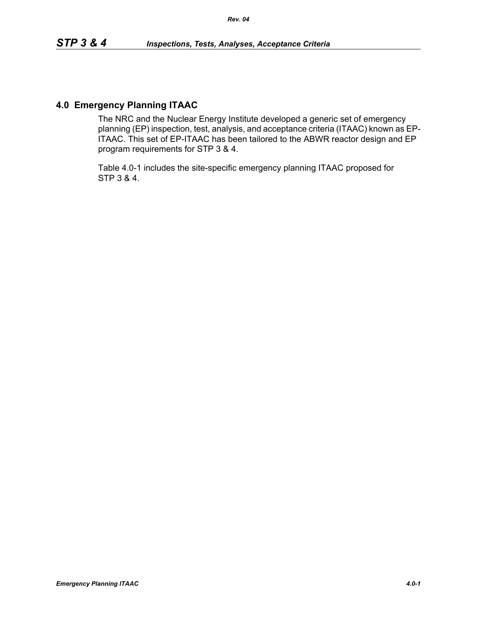### **4.0 Emergency Planning ITAAC**

The NRC and the Nuclear Energy Institute developed a generic set of emergency planning (EP) inspection, test, analysis, and acceptance criteria (ITAAC) known as EP-ITAAC. This set of EP-ITAAC has been tailored to the ABWR reactor design and EP program requirements for STP 3 & 4.

Table 4.0-1 includes the site-specific emergency planning ITAAC proposed for STP 3 & 4.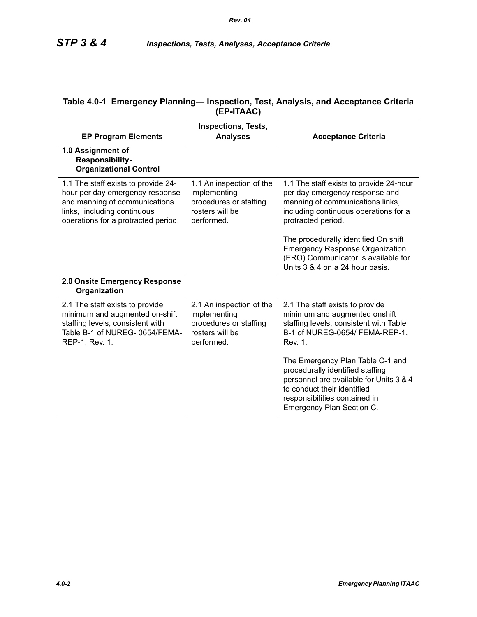| <b>EP Program Elements</b>                                                                                                                                                    | <b>Inspections, Tests,</b><br><b>Analyses</b>                                                       | <b>Acceptance Criteria</b>                                                                                                                                                                                                                                                                                                               |
|-------------------------------------------------------------------------------------------------------------------------------------------------------------------------------|-----------------------------------------------------------------------------------------------------|------------------------------------------------------------------------------------------------------------------------------------------------------------------------------------------------------------------------------------------------------------------------------------------------------------------------------------------|
| 1.0 Assignment of<br>Responsibility-<br><b>Organizational Control</b>                                                                                                         |                                                                                                     |                                                                                                                                                                                                                                                                                                                                          |
| 1.1 The staff exists to provide 24-<br>hour per day emergency response<br>and manning of communications<br>links, including continuous<br>operations for a protracted period. | 1.1 An inspection of the<br>implementing<br>procedures or staffing<br>rosters will be<br>performed. | 1.1 The staff exists to provide 24-hour<br>per day emergency response and<br>manning of communications links,<br>including continuous operations for a<br>protracted period.<br>The procedurally identified On shift<br><b>Emergency Response Organization</b><br>(ERO) Communicator is available for<br>Units 3 & 4 on a 24 hour basis. |
| 2.0 Onsite Emergency Response<br>Organization                                                                                                                                 |                                                                                                     |                                                                                                                                                                                                                                                                                                                                          |
| 2.1 The staff exists to provide<br>minimum and augmented on-shift<br>staffing levels, consistent with<br>Table B-1 of NUREG- 0654/FEMA-<br>REP-1, Rev. 1.                     | 2.1 An inspection of the<br>implementing<br>procedures or staffing<br>rosters will be<br>performed. | 2.1 The staff exists to provide<br>minimum and augmented onshift<br>staffing levels, consistent with Table<br>B-1 of NUREG-0654/ FEMA-REP-1,<br>Rev. 1.                                                                                                                                                                                  |
|                                                                                                                                                                               |                                                                                                     | The Emergency Plan Table C-1 and<br>procedurally identified staffing<br>personnel are available for Units 3 & 4<br>to conduct their identified<br>responsibilities contained in<br>Emergency Plan Section C.                                                                                                                             |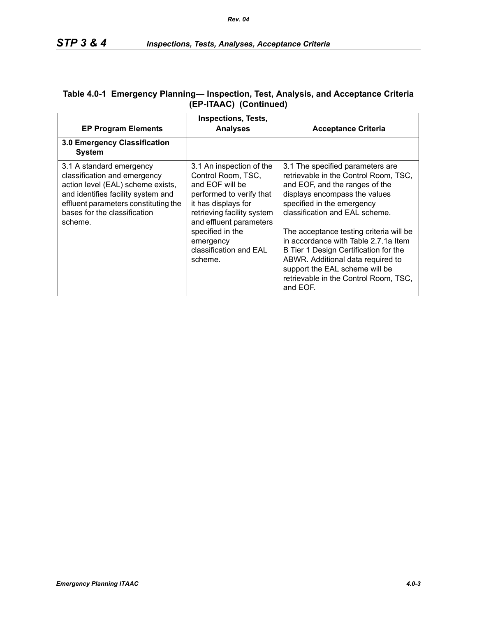| <b>EP Program Elements</b>                                                                                                                                                                                             | <b>Inspections, Tests,</b><br><b>Analyses</b>                                                                                                                                                                                                       | <b>Acceptance Criteria</b>                                                                                                                                                                                                                                                                                                                                                                                                                                           |
|------------------------------------------------------------------------------------------------------------------------------------------------------------------------------------------------------------------------|-----------------------------------------------------------------------------------------------------------------------------------------------------------------------------------------------------------------------------------------------------|----------------------------------------------------------------------------------------------------------------------------------------------------------------------------------------------------------------------------------------------------------------------------------------------------------------------------------------------------------------------------------------------------------------------------------------------------------------------|
| 3.0 Emergency Classification<br><b>System</b>                                                                                                                                                                          |                                                                                                                                                                                                                                                     |                                                                                                                                                                                                                                                                                                                                                                                                                                                                      |
| 3.1 A standard emergency<br>classification and emergency<br>action level (EAL) scheme exists,<br>and identifies facility system and<br>effluent parameters constituting the<br>bases for the classification<br>scheme. | 3.1 An inspection of the<br>Control Room, TSC,<br>and EOF will be<br>performed to verify that<br>it has displays for<br>retrieving facility system<br>and effluent parameters<br>specified in the<br>emergency<br>classification and EAL<br>scheme. | 3.1 The specified parameters are<br>retrievable in the Control Room, TSC,<br>and EOF, and the ranges of the<br>displays encompass the values<br>specified in the emergency<br>classification and EAL scheme.<br>The acceptance testing criteria will be<br>in accordance with Table 2.7.1a Item<br>B Tier 1 Design Certification for the<br>ABWR. Additional data required to<br>support the EAL scheme will be<br>retrievable in the Control Room, TSC,<br>and EOF. |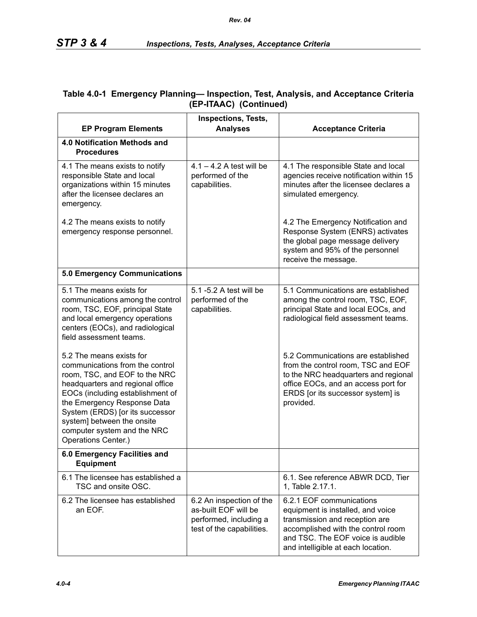| <b>EP Program Elements</b>                                                                                                                                                                                                                                                                                                 | <b>Inspections, Tests,</b><br><b>Analyses</b>                                                           | <b>Acceptance Criteria</b>                                                                                                                                                                                       |
|----------------------------------------------------------------------------------------------------------------------------------------------------------------------------------------------------------------------------------------------------------------------------------------------------------------------------|---------------------------------------------------------------------------------------------------------|------------------------------------------------------------------------------------------------------------------------------------------------------------------------------------------------------------------|
| 4.0 Notification Methods and<br><b>Procedures</b>                                                                                                                                                                                                                                                                          |                                                                                                         |                                                                                                                                                                                                                  |
| 4.1 The means exists to notify<br>responsible State and local<br>organizations within 15 minutes<br>after the licensee declares an<br>emergency.                                                                                                                                                                           | $4.1 - 4.2$ A test will be<br>performed of the<br>capabilities.                                         | 4.1 The responsible State and local<br>agencies receive notification within 15<br>minutes after the licensee declares a<br>simulated emergency.                                                                  |
| 4.2 The means exists to notify<br>emergency response personnel.                                                                                                                                                                                                                                                            |                                                                                                         | 4.2 The Emergency Notification and<br>Response System (ENRS) activates<br>the global page message delivery<br>system and 95% of the personnel<br>receive the message.                                            |
| <b>5.0 Emergency Communications</b>                                                                                                                                                                                                                                                                                        |                                                                                                         |                                                                                                                                                                                                                  |
| 5.1 The means exists for<br>communications among the control<br>room, TSC, EOF, principal State<br>and local emergency operations<br>centers (EOCs), and radiological<br>field assessment teams.                                                                                                                           | 5.1 -5.2 A test will be<br>performed of the<br>capabilities.                                            | 5.1 Communications are established<br>among the control room, TSC, EOF,<br>principal State and local EOCs, and<br>radiological field assessment teams.                                                           |
| 5.2 The means exists for<br>communications from the control<br>room, TSC, and EOF to the NRC<br>headquarters and regional office<br>EOCs (including establishment of<br>the Emergency Response Data<br>System (ERDS) [or its successor<br>system] between the onsite<br>computer system and the NRC<br>Operations Center.) |                                                                                                         | 5.2 Communications are established<br>from the control room, TSC and EOF<br>to the NRC headquarters and regional<br>office EOCs, and an access port for<br>ERDS [or its successor system] is<br>provided.        |
| 6.0 Emergency Facilities and<br><b>Equipment</b>                                                                                                                                                                                                                                                                           |                                                                                                         |                                                                                                                                                                                                                  |
| 6.1 The licensee has established a<br>TSC and onsite OSC.                                                                                                                                                                                                                                                                  |                                                                                                         | 6.1. See reference ABWR DCD, Tier<br>1, Table 2.17.1.                                                                                                                                                            |
| 6.2 The licensee has established<br>an EOF.                                                                                                                                                                                                                                                                                | 6.2 An inspection of the<br>as-built EOF will be<br>performed, including a<br>test of the capabilities. | 6.2.1 EOF communications<br>equipment is installed, and voice<br>transmission and reception are<br>accomplished with the control room<br>and TSC. The EOF voice is audible<br>and intelligible at each location. |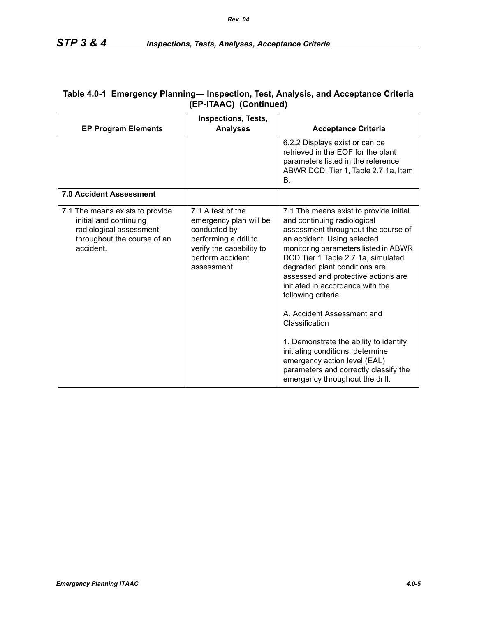| <b>EP Program Elements</b>                                                                                                       | <b>Inspections, Tests,</b><br><b>Analyses</b>                                                                                                      | <b>Acceptance Criteria</b>                                                                                                                                                                                                                                                                                                                                                                                                                                                                                                                                                                             |
|----------------------------------------------------------------------------------------------------------------------------------|----------------------------------------------------------------------------------------------------------------------------------------------------|--------------------------------------------------------------------------------------------------------------------------------------------------------------------------------------------------------------------------------------------------------------------------------------------------------------------------------------------------------------------------------------------------------------------------------------------------------------------------------------------------------------------------------------------------------------------------------------------------------|
|                                                                                                                                  |                                                                                                                                                    | 6.2.2 Displays exist or can be<br>retrieved in the EOF for the plant<br>parameters listed in the reference<br>ABWR DCD, Tier 1, Table 2.7.1a, Item<br>В.                                                                                                                                                                                                                                                                                                                                                                                                                                               |
| 7.0 Accident Assessment                                                                                                          |                                                                                                                                                    |                                                                                                                                                                                                                                                                                                                                                                                                                                                                                                                                                                                                        |
| 7.1 The means exists to provide<br>initial and continuing<br>radiological assessment<br>throughout the course of an<br>accident. | 7.1 A test of the<br>emergency plan will be<br>conducted by<br>performing a drill to<br>verify the capability to<br>perform accident<br>assessment | 7.1 The means exist to provide initial<br>and continuing radiological<br>assessment throughout the course of<br>an accident. Using selected<br>monitoring parameters listed in ABWR<br>DCD Tier 1 Table 2.7.1a, simulated<br>degraded plant conditions are<br>assessed and protective actions are<br>initiated in accordance with the<br>following criteria:<br>A. Accident Assessment and<br>Classification<br>1. Demonstrate the ability to identify<br>initiating conditions, determine<br>emergency action level (EAL)<br>parameters and correctly classify the<br>emergency throughout the drill. |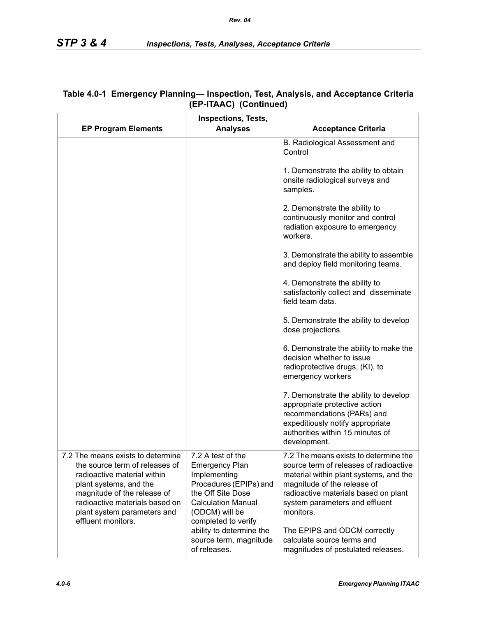| <b>EP Program Elements</b>                                                                                                                                                                                                   | <b>Inspections, Tests,</b><br><b>Analyses</b>                                                                                                            | <b>Acceptance Criteria</b>                                                                                                                                                                                                                      |
|------------------------------------------------------------------------------------------------------------------------------------------------------------------------------------------------------------------------------|----------------------------------------------------------------------------------------------------------------------------------------------------------|-------------------------------------------------------------------------------------------------------------------------------------------------------------------------------------------------------------------------------------------------|
|                                                                                                                                                                                                                              |                                                                                                                                                          | B. Radiological Assessment and<br>Control                                                                                                                                                                                                       |
|                                                                                                                                                                                                                              |                                                                                                                                                          | 1. Demonstrate the ability to obtain<br>onsite radiological surveys and<br>samples.                                                                                                                                                             |
|                                                                                                                                                                                                                              |                                                                                                                                                          | 2. Demonstrate the ability to<br>continuously monitor and control<br>radiation exposure to emergency<br>workers.                                                                                                                                |
|                                                                                                                                                                                                                              |                                                                                                                                                          | 3. Demonstrate the ability to assemble<br>and deploy field monitoring teams.                                                                                                                                                                    |
|                                                                                                                                                                                                                              |                                                                                                                                                          | 4. Demonstrate the ability to<br>satisfactorily collect and disseminate<br>field team data.                                                                                                                                                     |
|                                                                                                                                                                                                                              |                                                                                                                                                          | 5. Demonstrate the ability to develop<br>dose projections.                                                                                                                                                                                      |
|                                                                                                                                                                                                                              |                                                                                                                                                          | 6. Demonstrate the ability to make the<br>decision whether to issue<br>radioprotective drugs, (KI), to<br>emergency workers                                                                                                                     |
|                                                                                                                                                                                                                              |                                                                                                                                                          | 7. Demonstrate the ability to develop<br>appropriate protective action<br>recommendations (PARs) and<br>expeditiously notify appropriate<br>authorities within 15 minutes of<br>development.                                                    |
| 7.2 The means exists to determine<br>the source term of releases of<br>radioactive material within<br>plant systems, and the<br>magnitude of the release of<br>radioactive materials based on<br>plant system parameters and | 7.2 A test of the<br><b>Emergency Plan</b><br>Implementing<br>Procedures (EPIPs) and<br>the Off Site Dose<br><b>Calculation Manual</b><br>(ODCM) will be | 7.2 The means exists to determine the<br>source term of releases of radioactive<br>material within plant systems, and the<br>magnitude of the release of<br>radioactive materials based on plant<br>system parameters and effluent<br>monitors. |
| effluent monitors.                                                                                                                                                                                                           | completed to verify<br>ability to determine the<br>source term, magnitude<br>of releases.                                                                | The EPIPS and ODCM correctly<br>calculate source terms and<br>magnitudes of postulated releases.                                                                                                                                                |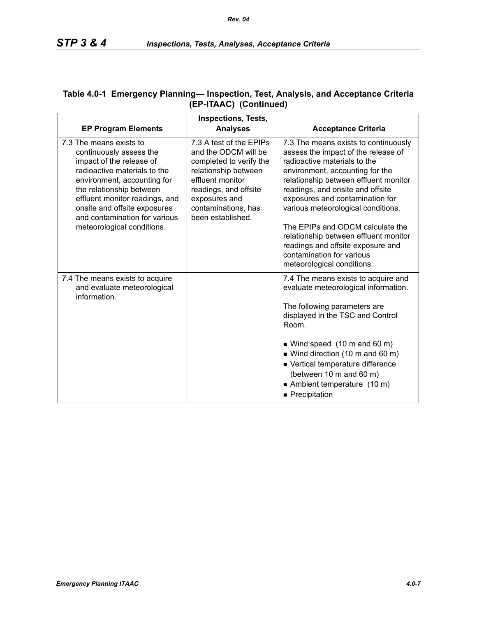| <b>EP Program Elements</b>                                                                                                                                                                                                                                                                                 | <b>Inspections, Tests,</b><br><b>Analyses</b>                                                                                                                                                                | <b>Acceptance Criteria</b>                                                                                                                                                                                                                                                                                                                                                                                                                                                        |
|------------------------------------------------------------------------------------------------------------------------------------------------------------------------------------------------------------------------------------------------------------------------------------------------------------|--------------------------------------------------------------------------------------------------------------------------------------------------------------------------------------------------------------|-----------------------------------------------------------------------------------------------------------------------------------------------------------------------------------------------------------------------------------------------------------------------------------------------------------------------------------------------------------------------------------------------------------------------------------------------------------------------------------|
| 7.3 The means exists to<br>continuously assess the<br>impact of the release of<br>radioactive materials to the<br>environment, accounting for<br>the relationship between<br>effluent monitor readings, and<br>onsite and offsite exposures<br>and contamination for various<br>meteorological conditions. | 7.3 A test of the EPIPs<br>and the ODCM will be<br>completed to verify the<br>relationship between<br>effluent monitor<br>readings, and offsite<br>exposures and<br>contaminations, has<br>been established. | 7.3 The means exists to continuously<br>assess the impact of the release of<br>radioactive materials to the<br>environment, accounting for the<br>relationship between effluent monitor<br>readings, and onsite and offsite<br>exposures and contamination for<br>various meteorological conditions.<br>The EPIPs and ODCM calculate the<br>relationship between effluent monitor<br>readings and offsite exposure and<br>contamination for various<br>meteorological conditions. |
| 7.4 The means exists to acquire<br>and evaluate meteorological<br>information.                                                                                                                                                                                                                             |                                                                                                                                                                                                              | 7.4 The means exists to acquire and<br>evaluate meteorological information.<br>The following parameters are<br>displayed in the TSC and Control<br>Room.<br>$\blacksquare$ Wind speed (10 m and 60 m)<br>■ Wind direction (10 m and 60 m)<br>■ Vertical temperature difference<br>(between 10 m and 60 m)<br>Ambient temperature (10 m)<br>■ Precipitation                                                                                                                        |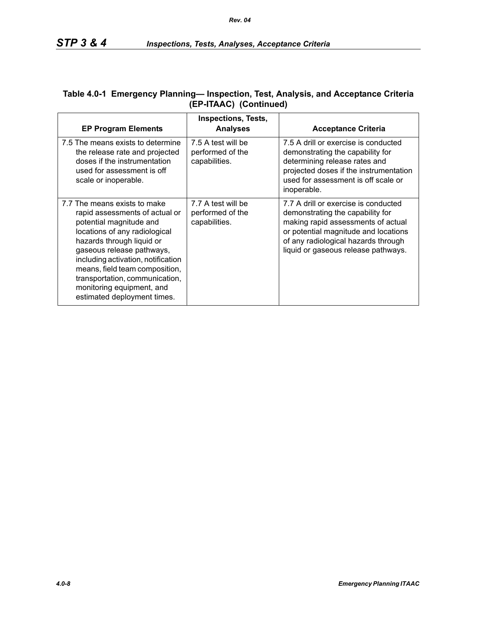| <b>EP Program Elements</b>                                                                                                                                                                                                                                                                                                                                 | <b>Inspections, Tests,</b><br><b>Analyses</b>           | <b>Acceptance Criteria</b>                                                                                                                                                                                                           |
|------------------------------------------------------------------------------------------------------------------------------------------------------------------------------------------------------------------------------------------------------------------------------------------------------------------------------------------------------------|---------------------------------------------------------|--------------------------------------------------------------------------------------------------------------------------------------------------------------------------------------------------------------------------------------|
| 7.5 The means exists to determine<br>the release rate and projected<br>doses if the instrumentation<br>used for assessment is off<br>scale or inoperable.                                                                                                                                                                                                  | 7.5 A test will be<br>performed of the<br>capabilities. | 7.5 A drill or exercise is conducted<br>demonstrating the capability for<br>determining release rates and<br>projected doses if the instrumentation<br>used for assessment is off scale or<br>inoperable.                            |
| 7.7 The means exists to make<br>rapid assessments of actual or<br>potential magnitude and<br>locations of any radiological<br>hazards through liquid or<br>gaseous release pathways,<br>including activation, notification<br>means, field team composition,<br>transportation, communication,<br>monitoring equipment, and<br>estimated deployment times. | 7.7 A test will be<br>performed of the<br>capabilities. | 7.7 A drill or exercise is conducted<br>demonstrating the capability for<br>making rapid assessments of actual<br>or potential magnitude and locations<br>of any radiological hazards through<br>liquid or gaseous release pathways. |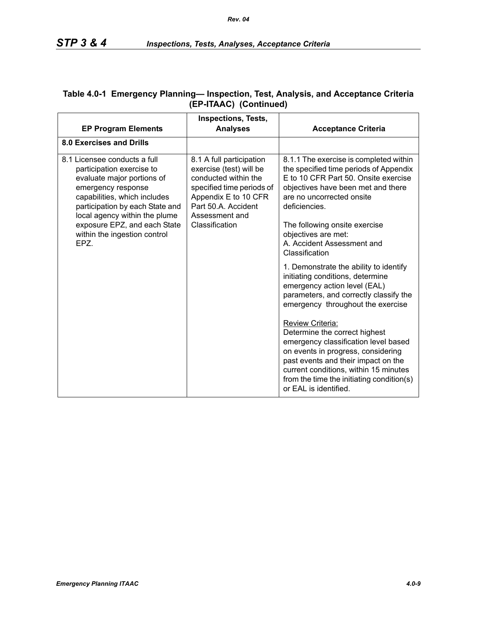|                                                                                                                                                                                                                                                                                   | <b>Inspections, Tests,</b>                                                                                                                                                                  |                                                                                                                                                                                                                                                                                       |
|-----------------------------------------------------------------------------------------------------------------------------------------------------------------------------------------------------------------------------------------------------------------------------------|---------------------------------------------------------------------------------------------------------------------------------------------------------------------------------------------|---------------------------------------------------------------------------------------------------------------------------------------------------------------------------------------------------------------------------------------------------------------------------------------|
| <b>EP Program Elements</b>                                                                                                                                                                                                                                                        | <b>Analyses</b>                                                                                                                                                                             | <b>Acceptance Criteria</b>                                                                                                                                                                                                                                                            |
| 8.0 Exercises and Drills                                                                                                                                                                                                                                                          |                                                                                                                                                                                             |                                                                                                                                                                                                                                                                                       |
| 8.1 Licensee conducts a full<br>participation exercise to<br>evaluate major portions of<br>emergency response<br>capabilities, which includes<br>participation by each State and<br>local agency within the plume<br>exposure EPZ, and each State<br>within the ingestion control | 8.1 A full participation<br>exercise (test) will be<br>conducted within the<br>specified time periods of<br>Appendix E to 10 CFR<br>Part 50.A. Accident<br>Assessment and<br>Classification | 8.1.1 The exercise is completed within<br>the specified time periods of Appendix<br>E to 10 CFR Part 50. Onsite exercise<br>objectives have been met and there<br>are no uncorrected onsite<br>deficiencies.<br>The following onsite exercise<br>objectives are met:                  |
| EPZ.                                                                                                                                                                                                                                                                              |                                                                                                                                                                                             | A. Accident Assessment and<br>Classification                                                                                                                                                                                                                                          |
|                                                                                                                                                                                                                                                                                   |                                                                                                                                                                                             | 1. Demonstrate the ability to identify<br>initiating conditions, determine<br>emergency action level (EAL)<br>parameters, and correctly classify the<br>emergency throughout the exercise                                                                                             |
|                                                                                                                                                                                                                                                                                   |                                                                                                                                                                                             | Review Criteria:<br>Determine the correct highest<br>emergency classification level based<br>on events in progress, considering<br>past events and their impact on the<br>current conditions, within 15 minutes<br>from the time the initiating condition(s)<br>or EAL is identified. |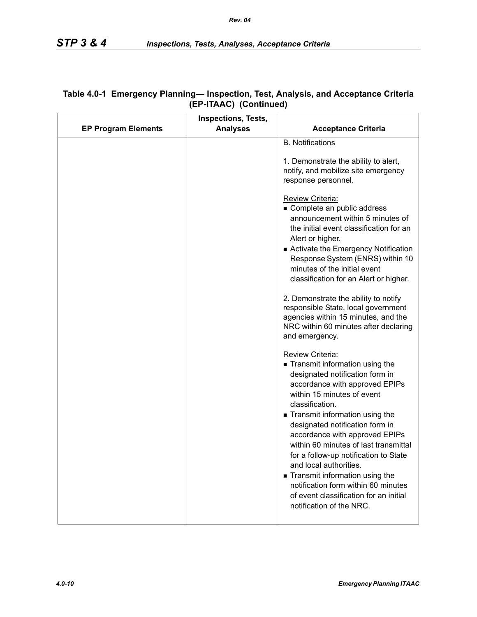|                            | <b>Inspections, Tests,</b> |                                                                                                                                                                                                                                                                                                                                                                                                                                                                                                                                                                                                                                                                                                                                                                                                                                                                                                                                                                                                                                                                                                                                                   |
|----------------------------|----------------------------|---------------------------------------------------------------------------------------------------------------------------------------------------------------------------------------------------------------------------------------------------------------------------------------------------------------------------------------------------------------------------------------------------------------------------------------------------------------------------------------------------------------------------------------------------------------------------------------------------------------------------------------------------------------------------------------------------------------------------------------------------------------------------------------------------------------------------------------------------------------------------------------------------------------------------------------------------------------------------------------------------------------------------------------------------------------------------------------------------------------------------------------------------|
| <b>EP Program Elements</b> | <b>Analyses</b>            | <b>Acceptance Criteria</b>                                                                                                                                                                                                                                                                                                                                                                                                                                                                                                                                                                                                                                                                                                                                                                                                                                                                                                                                                                                                                                                                                                                        |
|                            |                            | <b>B.</b> Notifications<br>1. Demonstrate the ability to alert,<br>notify, and mobilize site emergency<br>response personnel.<br>Review Criteria:<br>Complete an public address<br>announcement within 5 minutes of<br>the initial event classification for an<br>Alert or higher.<br>Activate the Emergency Notification<br>Response System (ENRS) within 10<br>minutes of the initial event<br>classification for an Alert or higher.<br>2. Demonstrate the ability to notify<br>responsible State, local government<br>agencies within 15 minutes, and the<br>NRC within 60 minutes after declaring<br>and emergency.<br><b>Review Criteria:</b><br>Transmit information using the<br>designated notification form in<br>accordance with approved EPIPs<br>within 15 minutes of event<br>classification.<br>Transmit information using the<br>designated notification form in<br>accordance with approved EPIPs<br>within 60 minutes of last transmittal<br>for a follow-up notification to State<br>and local authorities.<br>Transmit information using the<br>notification form within 60 minutes<br>of event classification for an initial |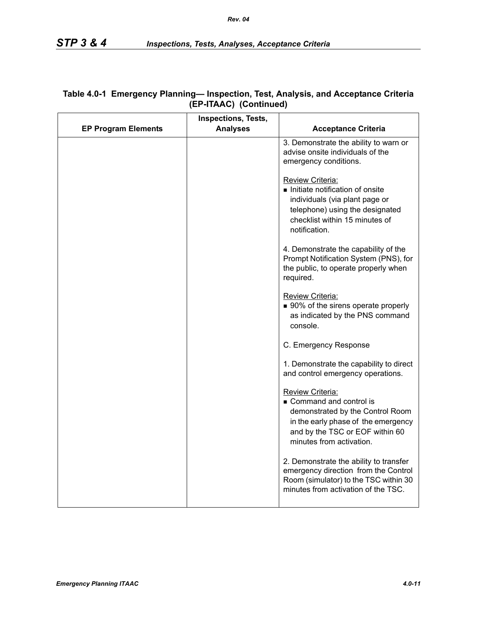|                            | <b>Inspections, Tests,</b> |                                                                                                                                                                                             |
|----------------------------|----------------------------|---------------------------------------------------------------------------------------------------------------------------------------------------------------------------------------------|
| <b>EP Program Elements</b> | <b>Analyses</b>            | <b>Acceptance Criteria</b>                                                                                                                                                                  |
|                            |                            | 3. Demonstrate the ability to warn or<br>advise onsite individuals of the<br>emergency conditions.                                                                                          |
|                            |                            | <b>Review Criteria:</b><br>Initiate notification of onsite<br>individuals (via plant page or<br>telephone) using the designated<br>checklist within 15 minutes of<br>notification.          |
|                            |                            | 4. Demonstrate the capability of the<br>Prompt Notification System (PNS), for<br>the public, to operate properly when<br>required.                                                          |
|                            |                            | Review Criteria:<br>■ 90% of the sirens operate properly<br>as indicated by the PNS command<br>console.                                                                                     |
|                            |                            | C. Emergency Response                                                                                                                                                                       |
|                            |                            | 1. Demonstrate the capability to direct<br>and control emergency operations.                                                                                                                |
|                            |                            | <b>Review Criteria:</b><br>Command and control is<br>demonstrated by the Control Room<br>in the early phase of the emergency<br>and by the TSC or EOF within 60<br>minutes from activation. |
|                            |                            | 2. Demonstrate the ability to transfer<br>emergency direction from the Control<br>Room (simulator) to the TSC within 30<br>minutes from activation of the TSC.                              |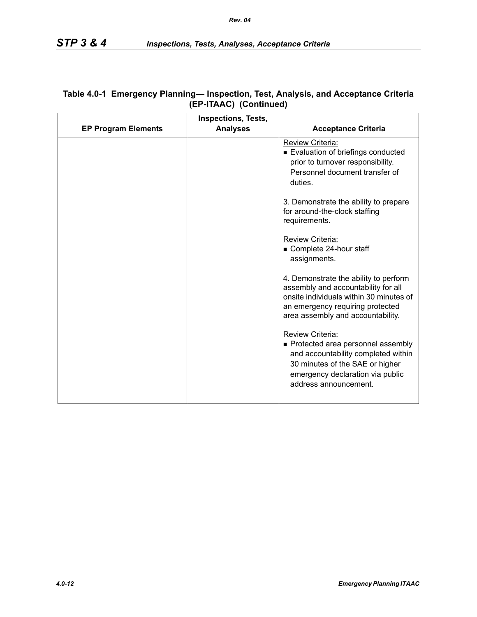|                            | <b>Inspections, Tests,</b> |                                                                                                                                                                                                  |
|----------------------------|----------------------------|--------------------------------------------------------------------------------------------------------------------------------------------------------------------------------------------------|
| <b>EP Program Elements</b> | <b>Analyses</b>            | <b>Acceptance Criteria</b>                                                                                                                                                                       |
|                            |                            | <b>Review Criteria:</b><br>Evaluation of briefings conducted<br>prior to turnover responsibility.<br>Personnel document transfer of<br>duties.                                                   |
|                            |                            | 3. Demonstrate the ability to prepare<br>for around-the-clock staffing<br>requirements.                                                                                                          |
|                            |                            | Review Criteria:<br>Complete 24-hour staff<br>assignments.                                                                                                                                       |
|                            |                            | 4. Demonstrate the ability to perform<br>assembly and accountability for all<br>onsite individuals within 30 minutes of<br>an emergency requiring protected<br>area assembly and accountability. |
|                            |                            | Review Criteria:<br>Protected area personnel assembly<br>and accountability completed within<br>30 minutes of the SAE or higher<br>emergency declaration via public<br>address announcement.     |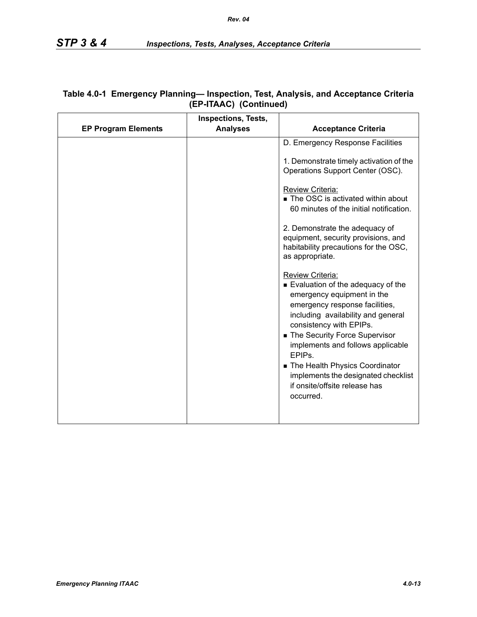| <b>EP Program Elements</b><br><b>Analyses</b><br><b>Acceptance Criteria</b><br>D. Emergency Response Facilities<br>1. Demonstrate timely activation of the<br>Operations Support Center (OSC).<br>Review Criteria:<br>The OSC is activated within about<br>60 minutes of the initial notification.<br>2. Demonstrate the adequacy of<br>equipment, security provisions, and<br>habitability precautions for the OSC,<br>as appropriate. |
|-----------------------------------------------------------------------------------------------------------------------------------------------------------------------------------------------------------------------------------------------------------------------------------------------------------------------------------------------------------------------------------------------------------------------------------------|
|                                                                                                                                                                                                                                                                                                                                                                                                                                         |
|                                                                                                                                                                                                                                                                                                                                                                                                                                         |
|                                                                                                                                                                                                                                                                                                                                                                                                                                         |
|                                                                                                                                                                                                                                                                                                                                                                                                                                         |
|                                                                                                                                                                                                                                                                                                                                                                                                                                         |
| Review Criteria:<br>Evaluation of the adequacy of the<br>emergency equipment in the<br>emergency response facilities,<br>including availability and general<br>consistency with EPIPs.<br>The Security Force Supervisor<br>implements and follows applicable<br>EPIP <sub>s</sub> .<br>The Health Physics Coordinator<br>implements the designated checklist<br>if onsite/offsite release has<br>occurred.                              |
|                                                                                                                                                                                                                                                                                                                                                                                                                                         |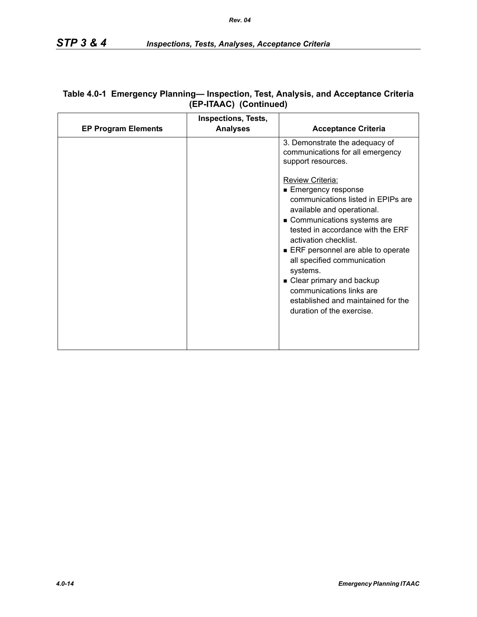|                            | <b>Inspections, Tests,</b> |                                                                                                                                                                                                                                                                                                                                                                                                                              |
|----------------------------|----------------------------|------------------------------------------------------------------------------------------------------------------------------------------------------------------------------------------------------------------------------------------------------------------------------------------------------------------------------------------------------------------------------------------------------------------------------|
| <b>EP Program Elements</b> | <b>Analyses</b>            | <b>Acceptance Criteria</b>                                                                                                                                                                                                                                                                                                                                                                                                   |
|                            |                            | 3. Demonstrate the adequacy of<br>communications for all emergency<br>support resources.                                                                                                                                                                                                                                                                                                                                     |
|                            |                            | <b>Review Criteria:</b><br>■ Emergency response<br>communications listed in EPIPs are<br>available and operational.<br>Communications systems are<br>tested in accordance with the ERF<br>activation checklist.<br>ERF personnel are able to operate<br>all specified communication<br>systems.<br>• Clear primary and backup<br>communications links are<br>established and maintained for the<br>duration of the exercise. |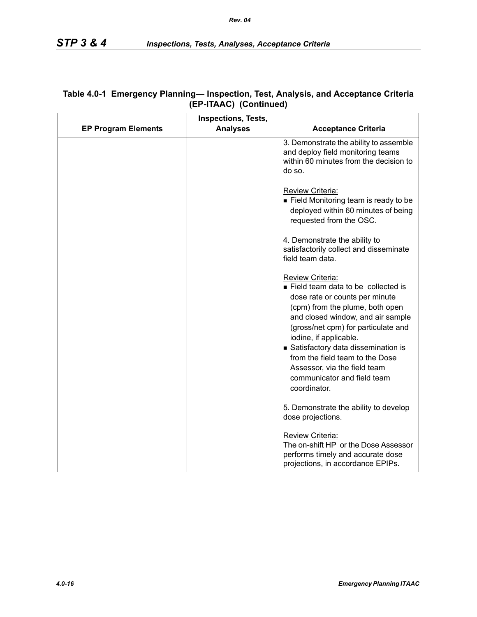|                            | <b>Inspections, Tests,</b> |                                                                                                                                                                                                                                                                                                                                                                                           |
|----------------------------|----------------------------|-------------------------------------------------------------------------------------------------------------------------------------------------------------------------------------------------------------------------------------------------------------------------------------------------------------------------------------------------------------------------------------------|
| <b>EP Program Elements</b> | <b>Analyses</b>            | <b>Acceptance Criteria</b>                                                                                                                                                                                                                                                                                                                                                                |
|                            |                            | 3. Demonstrate the ability to assemble<br>and deploy field monitoring teams<br>within 60 minutes from the decision to<br>do so.                                                                                                                                                                                                                                                           |
|                            |                            | Review Criteria:<br>■ Field Monitoring team is ready to be<br>deployed within 60 minutes of being<br>requested from the OSC.                                                                                                                                                                                                                                                              |
|                            |                            | 4. Demonstrate the ability to<br>satisfactorily collect and disseminate<br>field team data.                                                                                                                                                                                                                                                                                               |
|                            |                            | Review Criteria:<br>Field team data to be collected is<br>dose rate or counts per minute<br>(cpm) from the plume, both open<br>and closed window, and air sample<br>(gross/net cpm) for particulate and<br>iodine, if applicable.<br>Satisfactory data dissemination is<br>from the field team to the Dose<br>Assessor, via the field team<br>communicator and field team<br>coordinator. |
|                            |                            | 5. Demonstrate the ability to develop<br>dose projections.                                                                                                                                                                                                                                                                                                                                |
|                            |                            | Review Criteria:<br>The on-shift HP or the Dose Assessor<br>performs timely and accurate dose<br>projections, in accordance EPIPs.                                                                                                                                                                                                                                                        |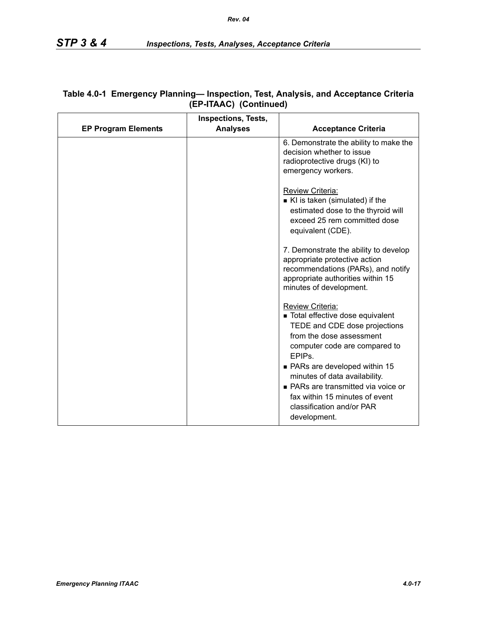| <b>EP Program Elements</b> | <b>Inspections, Tests,</b><br><b>Analyses</b> | <b>Acceptance Criteria</b>                                                                                                                                                            |
|----------------------------|-----------------------------------------------|---------------------------------------------------------------------------------------------------------------------------------------------------------------------------------------|
|                            |                                               | 6. Demonstrate the ability to make the<br>decision whether to issue<br>radioprotective drugs (KI) to<br>emergency workers.                                                            |
|                            |                                               | Review Criteria:<br>KI is taken (simulated) if the<br>estimated dose to the thyroid will<br>exceed 25 rem committed dose<br>equivalent (CDE).                                         |
|                            |                                               | 7. Demonstrate the ability to develop<br>appropriate protective action<br>recommendations (PARs), and notify<br>appropriate authorities within 15<br>minutes of development.          |
|                            |                                               | Review Criteria:<br>■ Total effective dose equivalent<br>TEDE and CDE dose projections<br>from the dose assessment<br>computer code are compared to<br>EPIP <sub>s</sub>              |
|                            |                                               | • PARs are developed within 15<br>minutes of data availability.<br>■ PARs are transmitted via voice or<br>fax within 15 minutes of event<br>classification and/or PAR<br>development. |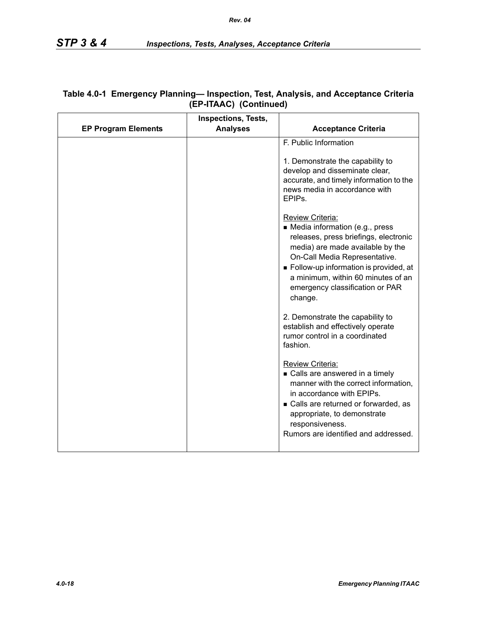|                            | <b>Inspections, Tests,</b> |                                                                                                                                                                                                                                                                                                 |
|----------------------------|----------------------------|-------------------------------------------------------------------------------------------------------------------------------------------------------------------------------------------------------------------------------------------------------------------------------------------------|
| <b>EP Program Elements</b> | <b>Analyses</b>            | <b>Acceptance Criteria</b>                                                                                                                                                                                                                                                                      |
|                            |                            | F. Public Information<br>1. Demonstrate the capability to<br>develop and disseminate clear,<br>accurate, and timely information to the<br>news media in accordance with<br>EPIP <sub>s</sub> .                                                                                                  |
|                            |                            | Review Criteria:<br>• Media information (e.g., press<br>releases, press briefings, electronic<br>media) are made available by the<br>On-Call Media Representative.<br>Follow-up information is provided, at<br>a minimum, within 60 minutes of an<br>emergency classification or PAR<br>change. |
|                            |                            | 2. Demonstrate the capability to<br>establish and effectively operate<br>rumor control in a coordinated<br>fashion.                                                                                                                                                                             |
|                            |                            | Review Criteria:<br>• Calls are answered in a timely<br>manner with the correct information,<br>in accordance with EPIPs.<br>• Calls are returned or forwarded, as<br>appropriate, to demonstrate<br>responsiveness.<br>Rumors are identified and addressed.                                    |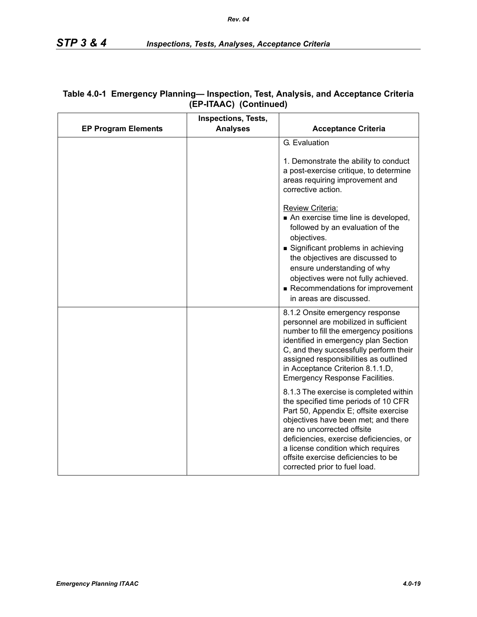|                            | Inspections, Tests, |                                                                                                                                                                                                                                                                                                                                                                                                                       |
|----------------------------|---------------------|-----------------------------------------------------------------------------------------------------------------------------------------------------------------------------------------------------------------------------------------------------------------------------------------------------------------------------------------------------------------------------------------------------------------------|
| <b>EP Program Elements</b> | <b>Analyses</b>     | <b>Acceptance Criteria</b>                                                                                                                                                                                                                                                                                                                                                                                            |
|                            |                     | G. Evaluation<br>1. Demonstrate the ability to conduct<br>a post-exercise critique, to determine<br>areas requiring improvement and<br>corrective action.<br>Review Criteria:<br>An exercise time line is developed,<br>followed by an evaluation of the<br>objectives.<br>Significant problems in achieving<br>the objectives are discussed to<br>ensure understanding of why<br>objectives were not fully achieved. |
|                            |                     | Recommendations for improvement<br>in areas are discussed.<br>8.1.2 Onsite emergency response                                                                                                                                                                                                                                                                                                                         |
|                            |                     | personnel are mobilized in sufficient<br>number to fill the emergency positions<br>identified in emergency plan Section<br>C, and they successfully perform their<br>assigned responsibilities as outlined<br>in Acceptance Criterion 8.1.1.D,<br><b>Emergency Response Facilities.</b>                                                                                                                               |
|                            |                     | 8.1.3 The exercise is completed within<br>the specified time periods of 10 CFR<br>Part 50, Appendix E; offsite exercise<br>objectives have been met; and there<br>are no uncorrected offsite<br>deficiencies, exercise deficiencies, or<br>a license condition which requires<br>offsite exercise deficiencies to be<br>corrected prior to fuel load.                                                                 |